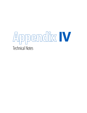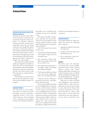# **Technical Notes**

**389**

## **Audit by the Joint Research Centre of the European Commission**

The Joint Research Centre (JRC) of the European Commission has researched extensively on the complexity of composite indicators ranking economies' performances along policy lines. For the fourth consecutive year, the JRC has agreed to perform a thorough robustness and sensitivity analysis of the Global Innovation Index (GII) to look at some structural changes made to the list of indicators by the GII developing team (see Table 1 of Annex 2 to Chapter 1 for more details).

An earlier version of the 2014 GII model was submitted to the JRC in April 2014. The recommendations and flexibilities allowed by the JRC preliminary audit were taken into account in the final version of the GII model and are explained below as appropriate.

A final audit was performed in May on that last model, the results of which are included in Annex 3 to Chapter 1.

#### **Composite indicators**

The GII relies on seven pillars. Each pillar is divided into three sub-pillars, and each sub-pillar is composed of three to five individual indicators. Each sub-pillar score is calculated as the weighted average of its individual indicators. Each pillar score is calculated as the weighted average of its sub-pillar scores.

The notion of weights as importance coefficients was, as in the previous two years, discarded to ensure a greater statistical coherence of the model, following the recommendations of the  $IRC<sup>1</sup>$ 

The GII includes three indices and one ratio:

- 1. The Innovation Input Sub-Index is the simple average of the first five pillar scores.
- 2. The Innovation Output Sub-Index is the simple average of the last two pillar scores.
- 3. The Global Innovation Index is the simple average of the Input and Output Sub-Indices.
- 4. The Innovation Efficiency Ratio is the ratio of the Output Sub-Index over the Input Sub-Index.

Country/economy rankings are provided for indicator, sub-pillar, pillar, and index scores.

The Innovation Efficiency Ratio serves to highlight those economies that have achieved more with less as well as those that lag behind in terms of fulfilling their innovation potential. In theory, assuming that innovation results go hand in hand with innovation enablers, efficiency ratios should evolve around the number one. This measure thus allows us to complement the GII by providing an insight that should be

neutral to the development stages of economies.<sup>2</sup>

#### **Individual indicators**

The model includes 81 indicators, which fall within the following three categories:

- 1. quantitative/objective/hard data (56 indicators),
- 2. composite indicators/index data (20 indicators), and
- 3. survey/qualitative/subjective/ soft data (5 indicators).

## **Hard data**

Hard data series (56 indicators) are drawn from a variety of public and private sources such as United Nations agencies (the United Nations Educational, Scientific and Cultural Organization, the World Intellectual Property Organization), the World Bank, PwC, Thomson Reuters, and IHS Global Insight.

Indicators are often correlated with population, gross domestic product (GDP), or some other sizerelated factor; they require scaling by some relevant size indicator for economy comparisons to be valid. Most indicators are either scaled at the source or do not need to be scaled; for the rest, the scaling factor was chosen to represent a fair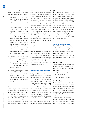IV: Technical Notes

picture of economy differences. This affected 39 indicators, which can be broadly divided into four groups:

- 1. Indicators 2.1.1, 2.3.2, 3.2.3, 4.1.2, 4.1.3, 4.2.2, 4.2.3, 5.1.3, 5.3.4, 6.2.3, and 6.3.4 were scaled by GDP in current US dollars.3
- 2. The count variables 3.3.3, 4.2.4, 5.2.4, 5.2.5, 6.1.1, 6.1.2, 6.1.3, 6.1.4, 6.2.4, 7.1.1, and 7.1.2 were scaled by GDP in purchasing power parity current international dollars (PPP\$ GDP). This choice of denominator was dictated by a willingness to appropriately account for differences in development stages; in addition, scaling these variables by population would improperly bias results to the detriment of economies with large young or large ageing populations.<sup>4</sup>
- 3. Variables 5.1.5, 6.2.2, 7.2.2, 7.2.3, 7.3.1, 7.3.2, 7.3.3, and 7.3.4 were scaled by population (population 20–34 years old for 5.1.5, population 15–64 years old for 6.2.2, and population 15–69 years old for the rest).<sup>5</sup>
- 4. Sectoral indicators 5.3.1, 5.3.3, 6.3.1, 6.3.3, and 7.2.1 were scaled by total trade; indicators 5.3.2, 6.2.5, 6.3.2, and 7.2.4 were scaled by the total unit corresponding to the particular statistic.<sup>6</sup>

## **Indices**

Composite indicators come from a series of specialized agencies and academic institutions such as the World Bank, the International Telecommunication Union (ITU), the UN Public Administration Network (UNPAN), and Yale and Columbia Universities. Statisticians discourage the use of an 'index within an index' on two main grounds: the

distorting effect of the use of different computing methodologies and the risk of duplicating variables. The normalization procedure partially solves for the former (more on this below). To avoid incurring the mistake of including a particular indicator more than once (directly and indirectly through a composite indicator), only indices with a narrow focus (20 in total) were selected.

Any remaining downside is outweighed by the gains in terms of model parsimony, acknowledgement of expert opinion, and focus on multi-dimensional phenomena that can hardly be captured by a single indicator.<sup>7</sup>

## **Survey data**

Survey data are drawn from the World Economic Forum's Executive Opinion Survey (EOS). Survey questions are drafted to capture subjective perceptions on specific topics; five EOS questions were retained to capture phenomena strongly linked to innovative activities for which hard data either do not exist or have low economy coverage.

## **Country/economy coverage and missing data**

This year's GII covers 143 economies, which were selected on the basis of the availability of data. Economies with a minimum indicator coverage of 51 indicators out of 81 (63%) and with scores for at least two sub-pillars per pillar were retained. These criteria were determined jointly with the JRC in 2011. The last record available for each economy was considered, with a cut-off at year 2004. For the sake of transparency and replicability of results, no additional effort was made to fill missing values. Missing values are indicated with 'n/a' and are not considered in the sub-pillar score. However, the

JRC audit assessed the robustness of the GII modelling choices (i.e., no imputation of missing data, fixed predefined weights, and arithmetic averages) by imputing missing data, applying random weights, and using geometric averages. Since 2012, on the basis of this assessment, a confidence interval is provided for each ranking in the GII as well as the Input and Output Sub-Indices (see Annex 2 to Chapter 1). Please refer to Annex 2 of Chapter 1 for more information regarding the use of 'n/a' and zero in indicators 4.2.4, 5.2.4, 5.2.5, and 7.3.4.

#### **Treatment of series with outliers**

Potentially problematic indicators with outliers that could polarize results and unduly bias the rankings were treated according to the rules listed below, following the recommendations of the JRC. This affected 31 out of the 56 hard data indicators.

## **First rule: Selection**

The identification of indicators as problematic used skewness or kurtosis. The problematic indicators had either:

- an absolute value of skewness greater than 2, or
- a kurtosis greater than 3.5.<sup>8</sup>

#### **Second rule: Treatment**

Series with one to five outliers (24 cases) were winsorized: The values distorting the indicator distribution were assigned the next highest value, up to the level where skewness and/ or kurtosis entered within the ranges specified above.<sup>9</sup>

For series with six or more outliers (7 cases), skewness and/or kurtosis entered within the ranges specified above after multiplication by a given factor *f* and transformation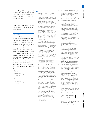by natural logs.10 Since only 'goods' were affected (i.e., indicators for which higher values indicate better outcomes, as opposed to 'bads'), the formula used was:

$$
\ln \left[ \frac{(\max \times f - 1) \text{ (economy value} - \min)}{\max - \min} + 1 \right]^{\text{th}}
$$

where 'min' and 'max' are the minimum and maximum indicator sample values.

#### **Normalization**

The 81 indicators were then normalized into the [0, 100] range, with higher scores representing better outcomes. Normalization was made according to the min-max method, where the min and max values were given by the minimum and maximum indicator sample values respectively, except for index and survey data, for which the original series' range of values was kept as min and max values (for example, [1, 7] for the World Economic Forum Executive Opinion Survey questions; [0, 100] for World Bank's World Governance Indicators; [0, 10] for ITU indices, etc.). The following formula was applied:

**• Goods:**

 $\frac{\text{economy value} - \text{min}}{\text{0}}$  x 100  $max - min$ 

**• Bads:**

 $\frac{max - economy value}{x} \times 100$  $mav = min$ 

#### **Notes**

Paruolo et al. (2013) show that a theoretical inconsistency exists between the real theoretical meaning of weights and the meaning generally attributed to them by the standard practice in constructing composite indicators that use them as importance coefficients in combination with linear aggregation rules. The approach followed in the GII this year is to assign weights of 0.5 or 1.0 to each component in a composite to ensure the highest correlations between them (i.e., indicator/sub-pillar, sub-pillar/ pillar, etc.). Three sub-pillars (6.1 Knowledge creation, 7.2 Creative goods and services, and 7.3 Online creativity) and 36 indicators (1.2.1, 1.2.2, 2.1.4, 2.1.5, 2.2.1, 2.2.3, 3.2.1, 3.2.2, 3.3.3, 4.2.2, 4.2.3, 4.2.4, 4.3.1, 4.3.2, 5.1.3, 5.1.4, 5.1.5, 5.2.1, 5.2.4, 5.2.5, 5.3.1, 6.1.1, 6.1.2, 6.1.4, 6.1.5, 6.2.2, 6.2.3, 6.2.4, 6.2.5, 6.3.1, 6.3.2, 6.3.3, 7.1.2, 7.2.1, 7.2.2, and 7.2.3) are weighted 0.5; the rest have a weight of 1.0.

 Five indicators with Pearson correlation coefficients with their respective sub-pillar scores below 0.5 were kept in the model to ensure a conceptual coherence (as opposed to a statistical coherence) in the belief that some cyclical (as opposed to structural) dimension might be at the source of their behaviour as 'noise' (see also Annex 3 to Chapter 1): 4.3.2 Market access for nonagricultural exports, 5.3.3 Communications, computer and information services imports, 6.2.1 Growth rate of GDP per person engaged, 6.2.2 New business density, and 6.3.4 Foreign direct investment net outflows.

- To account for differences in development, other composite indicators use weighting schemes differentiated by income level.
- These indicators are 2.1.1 Expenditure on education, 2.3.2 Gross expenditure on R&D, 3.2.3 Gross capital formation, 4.1.2 Domestic credit to private sector, 4.1.3 Microfinance institutions' gross loan portfolio, 4.2.2 Market capitalization, 4.2.3 Total value of stocks traded, 5.1.3 GERD performed by business enterprise, 5.3.4 Foreign direct investment net inflows, 6.2.3 Total computer software spending, and 6.3.4 Foreign direct investment net outflows.
- These count variables are mainly indicators that increase disproportionately with economic growth. They include: ISO 14001 environmental (3.3.3) and ISO 9001 quality (6.2.4) certificates issued; venture capital (4.2.4) and joint venture and strategic alliance (5.2.4) deals; Patent Cooperation Treaty (PCT) published patent family applications filed in at least three offices (5.2.5); resident patent applications at the national office (6.1.1) and at the PCT (6.1.2); national office resident utility model applications (6.1.3); publications in scientific and technical journals (6.1.4); national office resident trademark applications (7.1.1); and trademark applications under the Madrid System by country of origin (7.1.2).
- 5 These variables are GMAT test takers (5.1.5); new business density (6.2.2); national feature films produced (7.2.2); global entertainment and media composite output (7.2.3); generic (7.3.1) and country-code (7.3.2) top-level Internet domains; Wikipedia monthly edits (7.3.3); and video uploads on YouTube (7.3.4).
- 6 Royalty and license fees payments (5.3.1), communication, computer, information services imports (5.3.3), royalty and license fees receipts (6.3.1), communication, computer, and information services exports (6.3.3), cultural and creative services exports (7.2.1) and creative goods exports minus re-exports (7.2.5) were scaled by total trade; high-tech goods imports minus re-imports by total imports minus re-imports (5.3.2); hightech and medium-high-tech output (6.2.5), and printing and publishing output (7.2.4) by total manufactures output; and high-tech goods exports minus re-exports (6.3.2) by total exports minus re-exports. Refer to Annex 1 of Chapter 1 and Appendix III for details.
- 7 For example, GII sub-pillar 3.1 Information and communication technologies (ICTs) is composed of four indices: ITU's ICT Access and Use sub-indices and UNPAN's Government Online Service and E-Participation Indices. The first two are components of ITU's ICT Development Index together with an ICT skills sub-index that was not considered, as it duplicates GII pillar 2. Similarly, the Online Service Index is a component of UNPAN's E-Government Development Index together with two indices on Telecommunication Infrastructure and Human Capital that were not considered, as they duplicate GII pillars 3 and 2, respectively. The e-Participation Index was developed separately by UNPAN in 2010.
- 8 Based on Groeneveld and Meeden (1984), which sets the criteria of absolute skewness above 1 and kurtosis above 3.5. The skewness criterion was relaxed to account for the small sample at hand (143 economies).
- 9 This distributional issue affects the following variables: 3.3.3, 4.2.2, 5.3.2, 7.2.1, 7.2.4 (1 outlier) 3.2.1, 5.3.1, 6.1.5, 7.1.1 (2 outliers); 4.2.3, 5.3.4, 6.1.1, 6.2.2, 6.2.4, 7.3.1 (3 outliers); and 1.2.3, 4.1.3, 4.2.4, 5.2.4, 6.1.3, 6.3.3, 7.1.2 (4 outliers). The treatment criterion was relaxed this year to allow series with 5 outliers to be winsorized instead of subjected to natural log transformation. Two indicator series (2.2.3 and 7.2.2) with 5 outliers each required no further transformation once these were winsorized.
- 10 This distributional issue affects variables 5.1.5, 6.1.2, 6.3.4, 7.2.5, 7.3.2 (factor f of 1); 5.2.5, 6.3.1 (factor f of 10).
- 11 The corresponding formula for bads is:

$$
\ln \left[\frac{(\max x f - 1) \times (\max - \text{economy value})}{\max - \min} + 1\right]
$$

 These formulas achieve two things: converting all series into 'goods' and scaling the series to the range [1, max] so that natural logs are positive starting at 0.